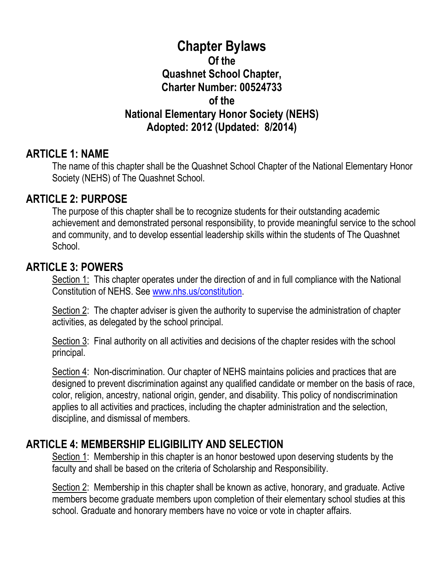# **Chapter Bylaws Of the Quashnet School Chapter, Charter Number: 00524733 of the National Elementary Honor Society (NEHS) Adopted: 2012 (Updated: 8/2014)**

#### **ARTICLE 1: NAME**

The name of this chapter shall be the Quashnet School Chapter of the National Elementary Honor Society (NEHS) of The Quashnet School.

#### **ARTICLE 2: PURPOSE**

The purpose of this chapter shall be to recognize students for their outstanding academic achievement and demonstrated personal responsibility, to provide meaningful service to the school and community, and to develop essential leadership skills within the students of The Quashnet School.

#### **ARTICLE 3: POWERS**

Section 1: This chapter operates under the direction of and in full compliance with the National Constitution of NEHS. See [www.nhs.us/constitution.](http://www.nhs.us/constitution)

Section 2: The chapter adviser is given the authority to supervise the administration of chapter activities, as delegated by the school principal.

Section 3: Final authority on all activities and decisions of the chapter resides with the school principal.

Section 4: Non-discrimination. Our chapter of NEHS maintains policies and practices that are designed to prevent discrimination against any qualified candidate or member on the basis of race, color, religion, ancestry, national origin, gender, and disability. This policy of nondiscrimination applies to all activities and practices, including the chapter administration and the selection, discipline, and dismissal of members.

# **ARTICLE 4: MEMBERSHIP ELIGIBILITY AND SELECTION**

Section 1: Membership in this chapter is an honor bestowed upon deserving students by the faculty and shall be based on the criteria of Scholarship and Responsibility.

Section 2: Membership in this chapter shall be known as active, honorary, and graduate. Active members become graduate members upon completion of their elementary school studies at this school. Graduate and honorary members have no voice or vote in chapter affairs.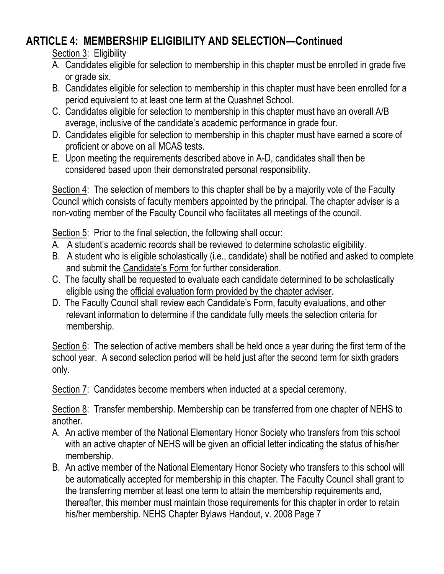# **ARTICLE 4: MEMBERSHIP ELIGIBILITY AND SELECTION—Continued**

Section 3: Eligibility

- A. Candidates eligible for selection to membership in this chapter must be enrolled in grade five or grade six.
- B. Candidates eligible for selection to membership in this chapter must have been enrolled for a period equivalent to at least one term at the Quashnet School.
- C. Candidates eligible for selection to membership in this chapter must have an overall A/B average, inclusive of the candidate's academic performance in grade four.
- D. Candidates eligible for selection to membership in this chapter must have earned a score of proficient or above on all MCAS tests.
- E. Upon meeting the requirements described above in A-D, candidates shall then be considered based upon their demonstrated personal responsibility.

Section 4: The selection of members to this chapter shall be by a majority vote of the Faculty Council which consists of faculty members appointed by the principal. The chapter adviser is a non-voting member of the Faculty Council who facilitates all meetings of the council.

Section 5: Prior to the final selection, the following shall occur:

- A. A student's academic records shall be reviewed to determine scholastic eligibility.
- B. A student who is eligible scholastically (i.e., candidate) shall be notified and asked to complete and submit the Candidate's Form for further consideration.
- C. The faculty shall be requested to evaluate each candidate determined to be scholastically eligible using the official evaluation form provided by the chapter adviser.
- D. The Faculty Council shall review each Candidate's Form, faculty evaluations, and other relevant information to determine if the candidate fully meets the selection criteria for membership.

Section 6: The selection of active members shall be held once a year during the first term of the school year. A second selection period will be held just after the second term for sixth graders only.

Section 7: Candidates become members when inducted at a special ceremony.

Section 8: Transfer membership. Membership can be transferred from one chapter of NEHS to another.

- A. An active member of the National Elementary Honor Society who transfers from this school with an active chapter of NEHS will be given an official letter indicating the status of his/her membership.
- B. An active member of the National Elementary Honor Society who transfers to this school will be automatically accepted for membership in this chapter. The Faculty Council shall grant to the transferring member at least one term to attain the membership requirements and, thereafter, this member must maintain those requirements for this chapter in order to retain his/her membership. NEHS Chapter Bylaws Handout, v. 2008 Page 7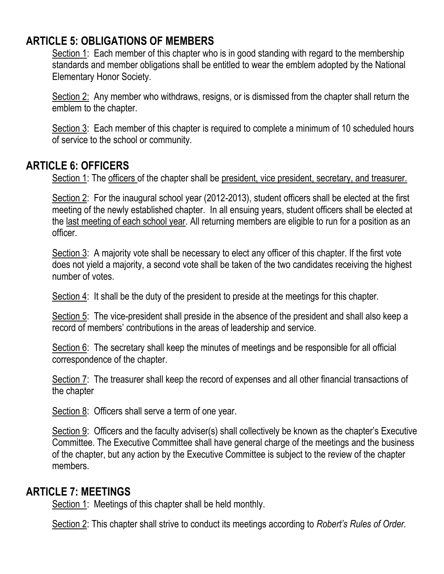# **ARTICLE 5: OBLIGATIONS OF MEMBERS**

Section 1: Each member of this chapter who is in good standing with regard to the membership standards and member obligations shall be entitled to wear the emblem adopted by the National Elementary Honor Society.

Section 2: Any member who withdraws, resigns, or is dismissed from the chapter shall return the emblem to the chapter.

Section 3: Each member of this chapter is required to complete a minimum of 10 scheduled hours of service to the school or community.

### **ARTICLE 6: OFFICERS**

Section 1: The officers of the chapter shall be president, vice president, secretary, and treasurer.

Section 2: For the inaugural school year (2012-2013), student officers shall be elected at the first meeting of the newly established chapter. In all ensuing years, student officers shall be elected at the last meeting of each school year. All returning members are eligible to run for a position as an officer.

Section 3: A majority vote shall be necessary to elect any officer of this chapter. If the first vote does not yield a majority, a second vote shall be taken of the two candidates receiving the highest number of votes.

Section 4: It shall be the duty of the president to preside at the meetings for this chapter.

Section 5: The vice-president shall preside in the absence of the president and shall also keep a record of members' contributions in the areas of leadership and service.

Section 6: The secretary shall keep the minutes of meetings and be responsible for all official correspondence of the chapter.

Section 7: The treasurer shall keep the record of expenses and all other financial transactions of the chapter

Section 8: Officers shall serve a term of one year.

Section 9: Officers and the faculty adviser(s) shall collectively be known as the chapter's Executive Committee. The Executive Committee shall have general charge of the meetings and the business of the chapter, but any action by the Executive Committee is subject to the review of the chapter members.

### **ARTICLE 7: MEETINGS**

Section 1: Meetings of this chapter shall be held monthly.

Section 2: This chapter shall strive to conduct its meetings according to *Robert's Rules of Order.*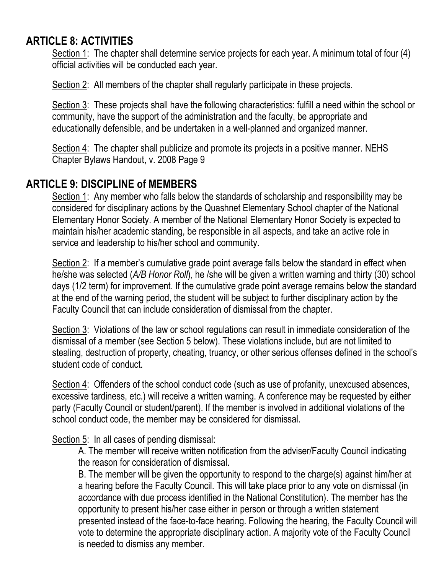# **ARTICLE 8: ACTIVITIES**

Section 1: The chapter shall determine service projects for each year. A minimum total of four (4) official activities will be conducted each year.

Section 2: All members of the chapter shall regularly participate in these projects.

Section 3: These projects shall have the following characteristics: fulfill a need within the school or community, have the support of the administration and the faculty, be appropriate and educationally defensible, and be undertaken in a well-planned and organized manner.

Section 4: The chapter shall publicize and promote its projects in a positive manner. NEHS Chapter Bylaws Handout, v. 2008 Page 9

### **ARTICLE 9: DISCIPLINE of MEMBERS**

Section 1: Any member who falls below the standards of scholarship and responsibility may be considered for disciplinary actions by the Quashnet Elementary School chapter of the National Elementary Honor Society. A member of the National Elementary Honor Society is expected to maintain his/her academic standing, be responsible in all aspects, and take an active role in service and leadership to his/her school and community.

Section 2: If a member's cumulative grade point average falls below the standard in effect when he/she was selected (*A/B Honor Roll*), he /she will be given a written warning and thirty (30) school days (1/2 term) for improvement. If the cumulative grade point average remains below the standard at the end of the warning period, the student will be subject to further disciplinary action by the Faculty Council that can include consideration of dismissal from the chapter.

Section 3: Violations of the law or school regulations can result in immediate consideration of the dismissal of a member (see Section 5 below). These violations include, but are not limited to stealing, destruction of property, cheating, truancy, or other serious offenses defined in the school's student code of conduct.

Section 4: Offenders of the school conduct code (such as use of profanity, unexcused absences, excessive tardiness, etc.) will receive a written warning. A conference may be requested by either party (Faculty Council or student/parent). If the member is involved in additional violations of the school conduct code, the member may be considered for dismissal.

Section 5: In all cases of pending dismissal:

A. The member will receive written notification from the adviser/Faculty Council indicating the reason for consideration of dismissal.

B. The member will be given the opportunity to respond to the charge(s) against him/her at a hearing before the Faculty Council. This will take place prior to any vote on dismissal (in accordance with due process identified in the National Constitution). The member has the opportunity to present his/her case either in person or through a written statement presented instead of the face-to-face hearing. Following the hearing, the Faculty Council will vote to determine the appropriate disciplinary action. A majority vote of the Faculty Council is needed to dismiss any member.